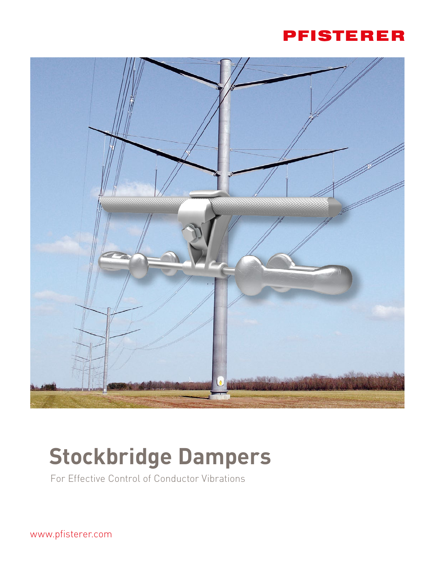



## **Stockbridge Dampers**

For Effective Control of Conductor Vibrations

www.pfisterer.com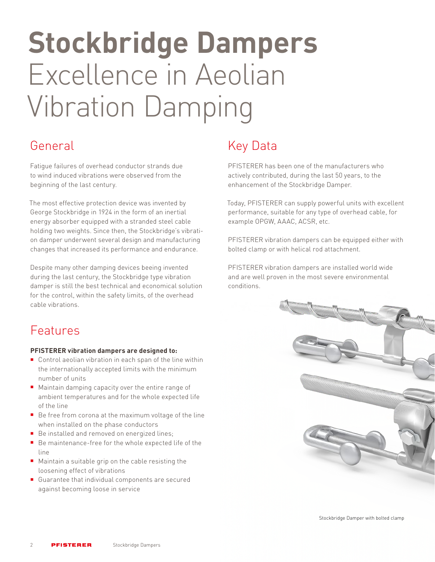# **Stockbridge Dampers** Excellence in Aeolian Vibration Damping

Fatigue failures of overhead conductor strands due to wind induced vibrations were observed from the beginning of the last century.

The most effective protection device was invented by George Stockbridge in 1924 in the form of an inertial energy absorber equipped with a stranded steel cable holding two weights. Since then, the Stockbridge's vibration damper underwent several design and manufacturing changes that increased its performance and endurance.

Despite many other damping devices beeing invented during the last century, the Stockbridge type vibration damper is still the best technical and economical solution for the control, within the safety limits, of the overhead cable vibrations.

## Features

#### **PFISTERER vibration dampers are designed to:**

- Control aeolian vibration in each span of the line within the internationally accepted limits with the minimum number of units
- Maintain damping capacity over the entire range of ambient temperatures and for the whole expected life of the line
- Be free from corona at the maximum voltage of the line when installed on the phase conductors
- Be installed and removed on energized lines;
- Be maintenance-free for the whole expected life of the line
- Maintain a suitable grip on the cable resisting the loosening effect of vibrations
- Guarantee that individual components are secured against becoming loose in service

## General **Key Data**

PFISTERER has been one of the manufacturers who actively contributed, during the last 50 years, to the enhancement of the Stockbridge Damper.

Today, PFISTERER can supply powerful units with excellent performance, suitable for any type of overhead cable, for example OPGW, AAAC, ACSR, etc.

PFISTERER vibration dampers can be equipped either with bolted clamp or with helical rod attachment.

PFISTERER vibration dampers are installed world wide and are well proven in the most severe environmental conditions.



Stockbridge Damper with bolted clamp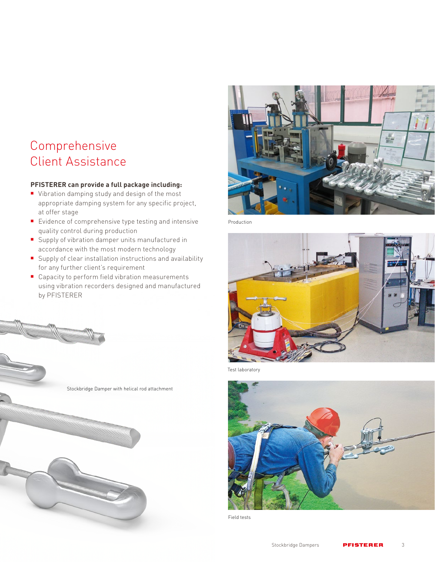### Comprehensive Client Assistance

#### **PFISTERER can provide a full package including:**

- Vibration damping study and design of the most appropriate damping system for any specific project, at offer stage
- **E**vidence of comprehensive type testing and intensive quality control during production
- Supply of vibration damper units manufactured in accordance with the most modern technology
- Supply of clear installation instructions and availability for any further client's requirement
- Capacity to perform field vibration measurements using vibration recorders designed and manufactured by PFISTERER

Stockbridge Damper with helical rod attachment



Production



Test laboratory



Field tests